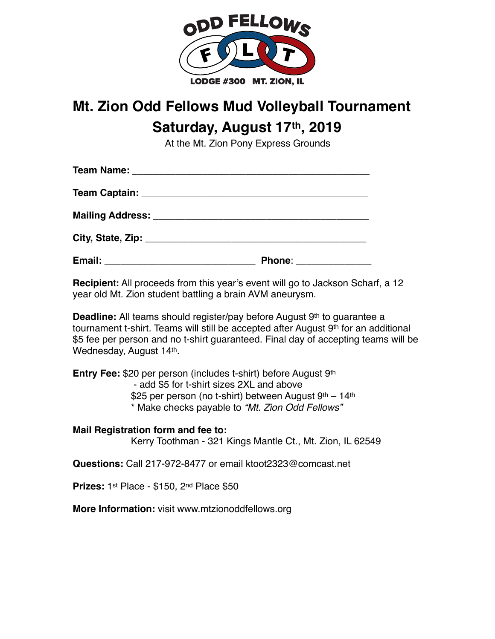

## **Mt. Zion Odd Fellows Mud Volleyball Tournament Saturday, August 17th, 2019**

At the Mt. Zion Pony Express Grounds

| Mailing Address: _________________________________ |                       |
|----------------------------------------------------|-----------------------|
|                                                    |                       |
| Email: __________________________________          | Phone: ______________ |

**Recipien**t**:** All proceeds from this year's event will go to Jackson Scharf, a 12 year old Mt. Zion student battling a brain AVM aneurysm.

**Deadline:** All teams should register/pay before August 9<sup>th</sup> to quarantee a tournament t-shirt. Teams will still be accepted after August 9<sup>th</sup> for an additional \$5 fee per person and no t-shirt guaranteed. Final day of accepting teams will be Wednesday, August 14th.

**Entry Fee:** \$20 per person (includes t-shirt) before August 9th - add \$5 for t-shirt sizes 2XL and above \$25 per person (no t-shirt) between August  $9<sup>th</sup> - 14<sup>th</sup>$ \* Make checks payable to *"Mt. Zion Odd Fellows"*

## **Mail Registration form and fee to:**

Kerry Toothman - 321 Kings Mantle Ct., Mt. Zion, IL 62549

**Questions:** Call 217-972-8477 or email ktoot2323@comcast.net

**Prizes:** 1st Place - \$150, 2nd Place \$50

**More Information:** visit www.mtzionoddfellows.org